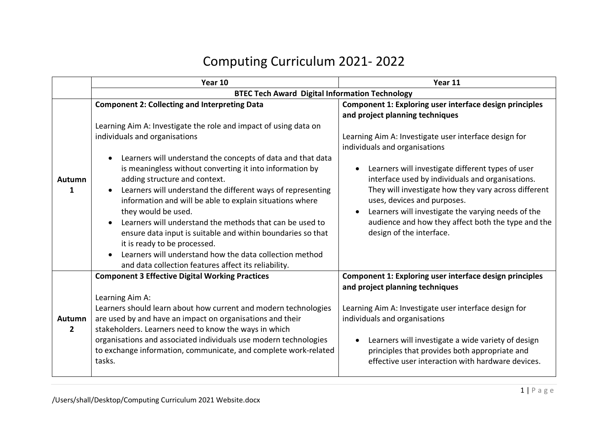## Computing Curriculum 2021- 2022

|                          | Year 10                                                                                                                                                                                                                                                                                                                                                                                                                                                                                                                                                                                               | Year 11                                                                                                                                                                                                                                                                                                                              |  |  |
|--------------------------|-------------------------------------------------------------------------------------------------------------------------------------------------------------------------------------------------------------------------------------------------------------------------------------------------------------------------------------------------------------------------------------------------------------------------------------------------------------------------------------------------------------------------------------------------------------------------------------------------------|--------------------------------------------------------------------------------------------------------------------------------------------------------------------------------------------------------------------------------------------------------------------------------------------------------------------------------------|--|--|
|                          | <b>BTEC Tech Award Digital Information Technology</b>                                                                                                                                                                                                                                                                                                                                                                                                                                                                                                                                                 |                                                                                                                                                                                                                                                                                                                                      |  |  |
|                          | <b>Component 2: Collecting and Interpreting Data</b>                                                                                                                                                                                                                                                                                                                                                                                                                                                                                                                                                  | Component 1: Exploring user interface design principles<br>and project planning techniques                                                                                                                                                                                                                                           |  |  |
|                          | Learning Aim A: Investigate the role and impact of using data on<br>individuals and organisations                                                                                                                                                                                                                                                                                                                                                                                                                                                                                                     | Learning Aim A: Investigate user interface design for<br>individuals and organisations                                                                                                                                                                                                                                               |  |  |
| Autumn<br>1              | Learners will understand the concepts of data and that data<br>is meaningless without converting it into information by<br>adding structure and context.<br>Learners will understand the different ways of representing<br>$\bullet$<br>information and will be able to explain situations where<br>they would be used.<br>Learners will understand the methods that can be used to<br>ensure data input is suitable and within boundaries so that<br>it is ready to be processed.<br>Learners will understand how the data collection method<br>and data collection features affect its reliability. | Learners will investigate different types of user<br>interface used by individuals and organisations.<br>They will investigate how they vary across different<br>uses, devices and purposes.<br>Learners will investigate the varying needs of the<br>audience and how they affect both the type and the<br>design of the interface. |  |  |
|                          | <b>Component 3 Effective Digital Working Practices</b>                                                                                                                                                                                                                                                                                                                                                                                                                                                                                                                                                | Component 1: Exploring user interface design principles<br>and project planning techniques                                                                                                                                                                                                                                           |  |  |
| Autumn<br>$\overline{2}$ | Learning Aim A:<br>Learners should learn about how current and modern technologies<br>are used by and have an impact on organisations and their<br>stakeholders. Learners need to know the ways in which<br>organisations and associated individuals use modern technologies<br>to exchange information, communicate, and complete work-related<br>tasks.                                                                                                                                                                                                                                             | Learning Aim A: Investigate user interface design for<br>individuals and organisations<br>Learners will investigate a wide variety of design<br>principles that provides both appropriate and<br>effective user interaction with hardware devices.                                                                                   |  |  |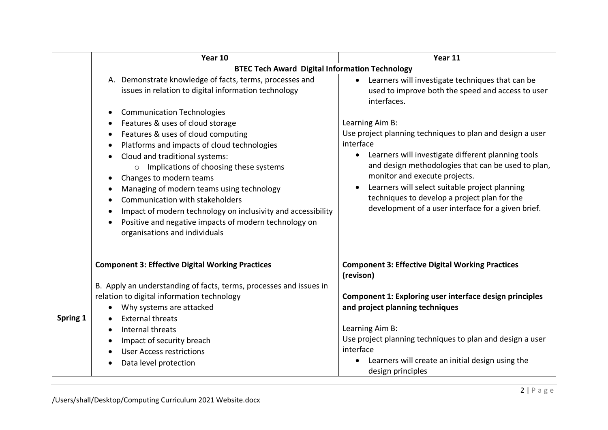|          | Year 10                                                                                                                                                                                                                                                                                                                                                                                                                              | Year 11                                                                                                                                                                                                                                                                                                                                                                                  |
|----------|--------------------------------------------------------------------------------------------------------------------------------------------------------------------------------------------------------------------------------------------------------------------------------------------------------------------------------------------------------------------------------------------------------------------------------------|------------------------------------------------------------------------------------------------------------------------------------------------------------------------------------------------------------------------------------------------------------------------------------------------------------------------------------------------------------------------------------------|
|          | <b>BTEC Tech Award Digital Information Technology</b>                                                                                                                                                                                                                                                                                                                                                                                |                                                                                                                                                                                                                                                                                                                                                                                          |
|          | A. Demonstrate knowledge of facts, terms, processes and<br>issues in relation to digital information technology                                                                                                                                                                                                                                                                                                                      | Learners will investigate techniques that can be<br>used to improve both the speed and access to user<br>interfaces.                                                                                                                                                                                                                                                                     |
|          | <b>Communication Technologies</b>                                                                                                                                                                                                                                                                                                                                                                                                    |                                                                                                                                                                                                                                                                                                                                                                                          |
|          | Features & uses of cloud storage<br>$\bullet$                                                                                                                                                                                                                                                                                                                                                                                        | Learning Aim B:                                                                                                                                                                                                                                                                                                                                                                          |
|          | Features & uses of cloud computing<br>Platforms and impacts of cloud technologies<br>Cloud and traditional systems:<br>o Implications of choosing these systems<br>Changes to modern teams<br>Managing of modern teams using technology<br>Communication with stakeholders<br>Impact of modern technology on inclusivity and accessibility<br>Positive and negative impacts of modern technology on<br>organisations and individuals | Use project planning techniques to plan and design a user<br>interface<br>Learners will investigate different planning tools<br>$\bullet$<br>and design methodologies that can be used to plan,<br>monitor and execute projects.<br>Learners will select suitable project planning<br>techniques to develop a project plan for the<br>development of a user interface for a given brief. |
|          | <b>Component 3: Effective Digital Working Practices</b>                                                                                                                                                                                                                                                                                                                                                                              | <b>Component 3: Effective Digital Working Practices</b><br>(revison)                                                                                                                                                                                                                                                                                                                     |
| Spring 1 | B. Apply an understanding of facts, terms, processes and issues in<br>relation to digital information technology<br>Why systems are attacked<br>$\bullet$<br><b>External threats</b><br>Internal threats<br>$\bullet$                                                                                                                                                                                                                | <b>Component 1: Exploring user interface design principles</b><br>and project planning techniques<br>Learning Aim B:                                                                                                                                                                                                                                                                     |
|          | Impact of security breach<br><b>User Access restrictions</b><br>Data level protection                                                                                                                                                                                                                                                                                                                                                | Use project planning techniques to plan and design a user<br>interface<br>Learners will create an initial design using the<br>design principles                                                                                                                                                                                                                                          |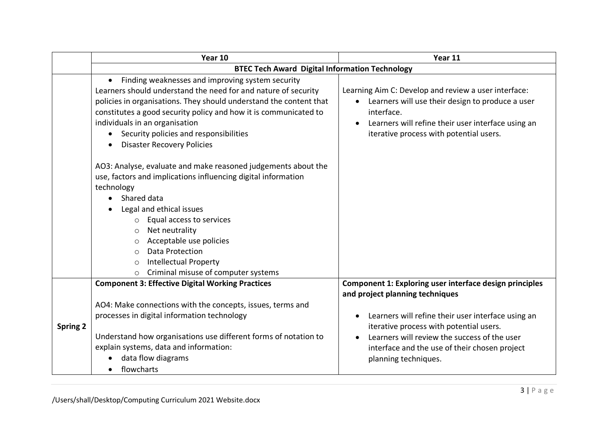|                 | Year 10                                                                                                                                                                                                                                                                                                                                                                                                                | Year 11                                                                                                                                                                                                                                                                                                              |  |
|-----------------|------------------------------------------------------------------------------------------------------------------------------------------------------------------------------------------------------------------------------------------------------------------------------------------------------------------------------------------------------------------------------------------------------------------------|----------------------------------------------------------------------------------------------------------------------------------------------------------------------------------------------------------------------------------------------------------------------------------------------------------------------|--|
|                 | <b>BTEC Tech Award Digital Information Technology</b>                                                                                                                                                                                                                                                                                                                                                                  |                                                                                                                                                                                                                                                                                                                      |  |
|                 | • Finding weaknesses and improving system security<br>Learners should understand the need for and nature of security<br>policies in organisations. They should understand the content that<br>constitutes a good security policy and how it is communicated to<br>individuals in an organisation<br>Security policies and responsibilities<br><b>Disaster Recovery Policies</b><br>$\bullet$                           | Learning Aim C: Develop and review a user interface:<br>Learners will use their design to produce a user<br>$\bullet$<br>interface.<br>Learners will refine their user interface using an<br>iterative process with potential users.                                                                                 |  |
|                 | AO3: Analyse, evaluate and make reasoned judgements about the<br>use, factors and implications influencing digital information<br>technology<br>Shared data<br>Legal and ethical issues<br>Equal access to services<br>$\circ$<br>Net neutrality<br>$\circ$<br>Acceptable use policies<br>O<br>Data Protection<br>$\circ$<br><b>Intellectual Property</b><br>$\circ$<br>Criminal misuse of computer systems<br>$\circ$ |                                                                                                                                                                                                                                                                                                                      |  |
| <b>Spring 2</b> | <b>Component 3: Effective Digital Working Practices</b><br>AO4: Make connections with the concepts, issues, terms and<br>processes in digital information technology<br>Understand how organisations use different forms of notation to<br>explain systems, data and information:<br>data flow diagrams<br>flowcharts                                                                                                  | Component 1: Exploring user interface design principles<br>and project planning techniques<br>Learners will refine their user interface using an<br>iterative process with potential users.<br>Learners will review the success of the user<br>interface and the use of their chosen project<br>planning techniques. |  |